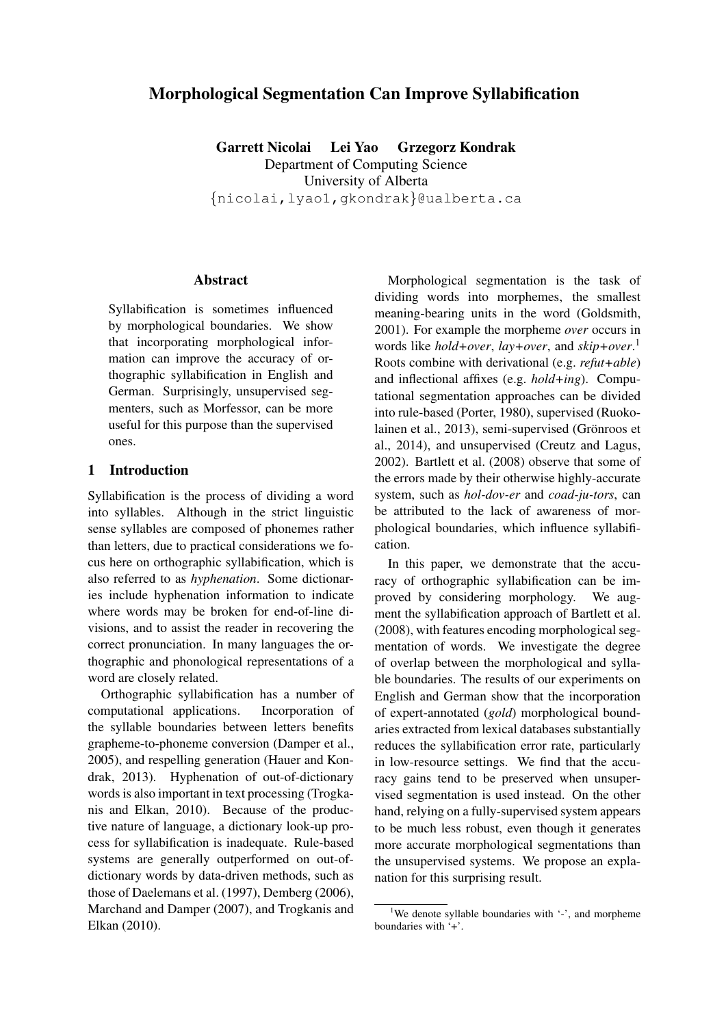# Morphological Segmentation Can Improve Syllabification

Garrett Nicolai Lei Yao Grzegorz Kondrak Department of Computing Science University of Alberta {nicolai,lyao1,gkondrak}@ualberta.ca

#### Abstract

Syllabification is sometimes influenced by morphological boundaries. We show that incorporating morphological information can improve the accuracy of orthographic syllabification in English and German. Surprisingly, unsupervised segmenters, such as Morfessor, can be more useful for this purpose than the supervised ones.

#### 1 Introduction

Syllabification is the process of dividing a word into syllables. Although in the strict linguistic sense syllables are composed of phonemes rather than letters, due to practical considerations we focus here on orthographic syllabification, which is also referred to as *hyphenation*. Some dictionaries include hyphenation information to indicate where words may be broken for end-of-line divisions, and to assist the reader in recovering the correct pronunciation. In many languages the orthographic and phonological representations of a word are closely related.

Orthographic syllabification has a number of computational applications. Incorporation of the syllable boundaries between letters benefits grapheme-to-phoneme conversion (Damper et al., 2005), and respelling generation (Hauer and Kondrak, 2013). Hyphenation of out-of-dictionary words is also important in text processing (Trogkanis and Elkan, 2010). Because of the productive nature of language, a dictionary look-up process for syllabification is inadequate. Rule-based systems are generally outperformed on out-ofdictionary words by data-driven methods, such as those of Daelemans et al. (1997), Demberg (2006), Marchand and Damper (2007), and Trogkanis and Elkan (2010).

Morphological segmentation is the task of dividing words into morphemes, the smallest meaning-bearing units in the word (Goldsmith, 2001). For example the morpheme *over* occurs in words like *hold+over*, *lay+over*, and *skip+over*. 1 Roots combine with derivational (e.g. *refut+able*) and inflectional affixes (e.g. *hold+ing*). Computational segmentation approaches can be divided into rule-based (Porter, 1980), supervised (Ruokolainen et al., 2013), semi-supervised (Grönroos et al., 2014), and unsupervised (Creutz and Lagus, 2002). Bartlett et al. (2008) observe that some of the errors made by their otherwise highly-accurate system, such as *hol-dov-er* and *coad-ju-tors*, can be attributed to the lack of awareness of morphological boundaries, which influence syllabification.

In this paper, we demonstrate that the accuracy of orthographic syllabification can be improved by considering morphology. We augment the syllabification approach of Bartlett et al. (2008), with features encoding morphological segmentation of words. We investigate the degree of overlap between the morphological and syllable boundaries. The results of our experiments on English and German show that the incorporation of expert-annotated (*gold*) morphological boundaries extracted from lexical databases substantially reduces the syllabification error rate, particularly in low-resource settings. We find that the accuracy gains tend to be preserved when unsupervised segmentation is used instead. On the other hand, relying on a fully-supervised system appears to be much less robust, even though it generates more accurate morphological segmentations than the unsupervised systems. We propose an explanation for this surprising result.

<sup>&</sup>lt;sup>1</sup>We denote syllable boundaries with  $\cdot$ -', and morpheme boundaries with '+'.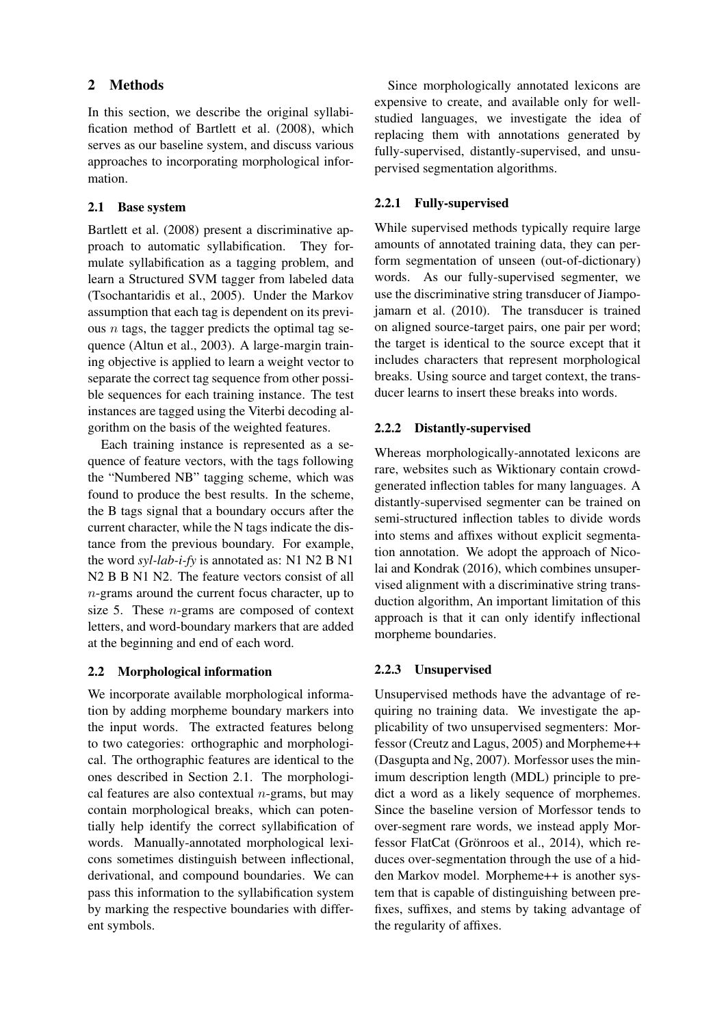## 2 Methods

In this section, we describe the original syllabification method of Bartlett et al. (2008), which serves as our baseline system, and discuss various approaches to incorporating morphological information.

## 2.1 Base system

Bartlett et al. (2008) present a discriminative approach to automatic syllabification. They formulate syllabification as a tagging problem, and learn a Structured SVM tagger from labeled data (Tsochantaridis et al., 2005). Under the Markov assumption that each tag is dependent on its previous  $n$  tags, the tagger predicts the optimal tag sequence (Altun et al., 2003). A large-margin training objective is applied to learn a weight vector to separate the correct tag sequence from other possible sequences for each training instance. The test instances are tagged using the Viterbi decoding algorithm on the basis of the weighted features.

Each training instance is represented as a sequence of feature vectors, with the tags following the "Numbered NB" tagging scheme, which was found to produce the best results. In the scheme, the B tags signal that a boundary occurs after the current character, while the N tags indicate the distance from the previous boundary. For example, the word *syl-lab-i-fy* is annotated as: N1 N2 B N1 N<sub>2</sub> B B N<sub>1</sub> N<sub>2</sub>. The feature vectors consist of all n-grams around the current focus character, up to size 5. These  $n$ -grams are composed of context letters, and word-boundary markers that are added at the beginning and end of each word.

# 2.2 Morphological information

We incorporate available morphological information by adding morpheme boundary markers into the input words. The extracted features belong to two categories: orthographic and morphological. The orthographic features are identical to the ones described in Section 2.1. The morphological features are also contextual  $n$ -grams, but may contain morphological breaks, which can potentially help identify the correct syllabification of words. Manually-annotated morphological lexicons sometimes distinguish between inflectional, derivational, and compound boundaries. We can pass this information to the syllabification system by marking the respective boundaries with different symbols.

Since morphologically annotated lexicons are expensive to create, and available only for wellstudied languages, we investigate the idea of replacing them with annotations generated by fully-supervised, distantly-supervised, and unsupervised segmentation algorithms.

## 2.2.1 Fully-supervised

While supervised methods typically require large amounts of annotated training data, they can perform segmentation of unseen (out-of-dictionary) words. As our fully-supervised segmenter, we use the discriminative string transducer of Jiampojamarn et al. (2010). The transducer is trained on aligned source-target pairs, one pair per word; the target is identical to the source except that it includes characters that represent morphological breaks. Using source and target context, the transducer learns to insert these breaks into words.

## 2.2.2 Distantly-supervised

Whereas morphologically-annotated lexicons are rare, websites such as Wiktionary contain crowdgenerated inflection tables for many languages. A distantly-supervised segmenter can be trained on semi-structured inflection tables to divide words into stems and affixes without explicit segmentation annotation. We adopt the approach of Nicolai and Kondrak (2016), which combines unsupervised alignment with a discriminative string transduction algorithm, An important limitation of this approach is that it can only identify inflectional morpheme boundaries.

# 2.2.3 Unsupervised

Unsupervised methods have the advantage of requiring no training data. We investigate the applicability of two unsupervised segmenters: Morfessor (Creutz and Lagus, 2005) and Morpheme++ (Dasgupta and Ng, 2007). Morfessor uses the minimum description length (MDL) principle to predict a word as a likely sequence of morphemes. Since the baseline version of Morfessor tends to over-segment rare words, we instead apply Morfessor FlatCat (Grönroos et al., 2014), which reduces over-segmentation through the use of a hidden Markov model. Morpheme++ is another system that is capable of distinguishing between prefixes, suffixes, and stems by taking advantage of the regularity of affixes.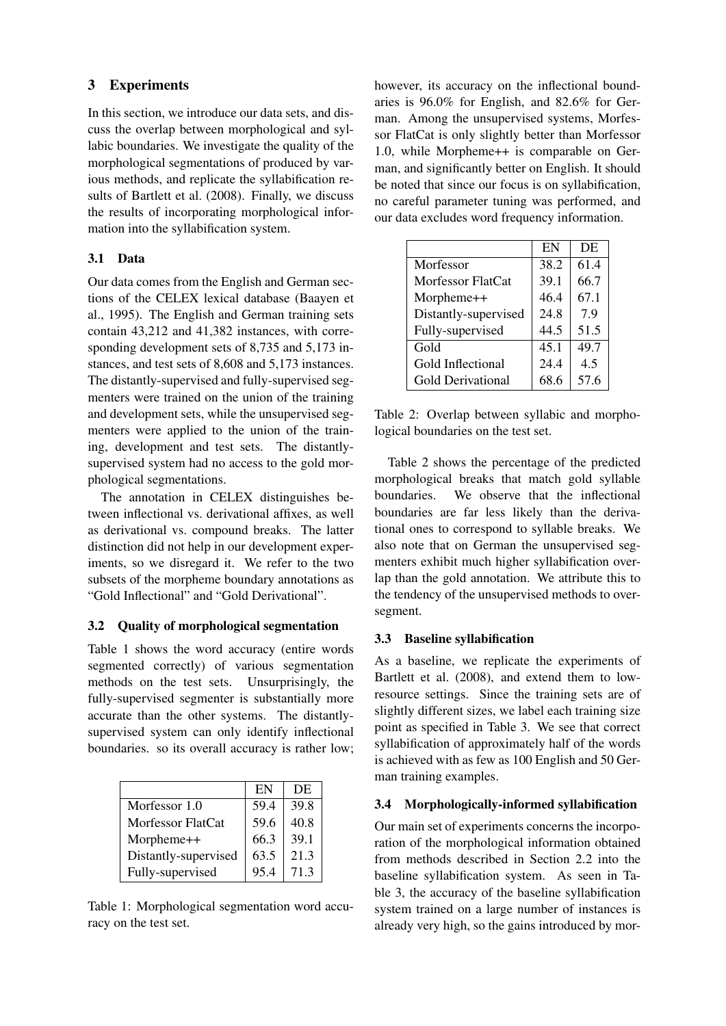## 3 Experiments

In this section, we introduce our data sets, and discuss the overlap between morphological and syllabic boundaries. We investigate the quality of the morphological segmentations of produced by various methods, and replicate the syllabification results of Bartlett et al. (2008). Finally, we discuss the results of incorporating morphological information into the syllabification system.

## 3.1 Data

Our data comes from the English and German sections of the CELEX lexical database (Baayen et al., 1995). The English and German training sets contain 43,212 and 41,382 instances, with corresponding development sets of 8,735 and 5,173 instances, and test sets of 8,608 and 5,173 instances. The distantly-supervised and fully-supervised segmenters were trained on the union of the training and development sets, while the unsupervised segmenters were applied to the union of the training, development and test sets. The distantlysupervised system had no access to the gold morphological segmentations.

The annotation in CELEX distinguishes between inflectional vs. derivational affixes, as well as derivational vs. compound breaks. The latter distinction did not help in our development experiments, so we disregard it. We refer to the two subsets of the morpheme boundary annotations as "Gold Inflectional" and "Gold Derivational".

# 3.2 Quality of morphological segmentation

Table 1 shows the word accuracy (entire words segmented correctly) of various segmentation methods on the test sets. Unsurprisingly, the fully-supervised segmenter is substantially more accurate than the other systems. The distantlysupervised system can only identify inflectional boundaries. so its overall accuracy is rather low;

|                      | EN   | DE   |
|----------------------|------|------|
| Morfessor 1.0        | 59.4 | 39.8 |
| Morfessor FlatCat    | 59.6 | 40.8 |
| Morpheme++           | 66.3 | 39.1 |
| Distantly-supervised | 63.5 | 21.3 |
| Fully-supervised     | 95.4 | 71.3 |

Table 1: Morphological segmentation word accuracy on the test set.

however, its accuracy on the inflectional boundaries is 96.0% for English, and 82.6% for German. Among the unsupervised systems, Morfessor FlatCat is only slightly better than Morfessor 1.0, while Morpheme++ is comparable on German, and significantly better on English. It should be noted that since our focus is on syllabification, no careful parameter tuning was performed, and our data excludes word frequency information.

|                          | EN   | DE   |
|--------------------------|------|------|
| Morfessor                | 38.2 | 61.4 |
| Morfessor FlatCat        | 39.1 | 66.7 |
| Morpheme++               | 46.4 | 67.1 |
| Distantly-supervised     | 24.8 | 7.9  |
| Fully-supervised         | 44.5 | 51.5 |
| Gold                     | 45.1 | 49.7 |
| Gold Inflectional        | 24.4 | 4.5  |
| <b>Gold Derivational</b> | 68.6 | 57.6 |

Table 2: Overlap between syllabic and morphological boundaries on the test set.

Table 2 shows the percentage of the predicted morphological breaks that match gold syllable boundaries. We observe that the inflectional boundaries are far less likely than the derivational ones to correspond to syllable breaks. We also note that on German the unsupervised segmenters exhibit much higher syllabification overlap than the gold annotation. We attribute this to the tendency of the unsupervised methods to oversegment.

# 3.3 Baseline syllabification

As a baseline, we replicate the experiments of Bartlett et al. (2008), and extend them to lowresource settings. Since the training sets are of slightly different sizes, we label each training size point as specified in Table 3. We see that correct syllabification of approximately half of the words is achieved with as few as 100 English and 50 German training examples.

# 3.4 Morphologically-informed syllabification

Our main set of experiments concerns the incorporation of the morphological information obtained from methods described in Section 2.2 into the baseline syllabification system. As seen in Table 3, the accuracy of the baseline syllabification system trained on a large number of instances is already very high, so the gains introduced by mor-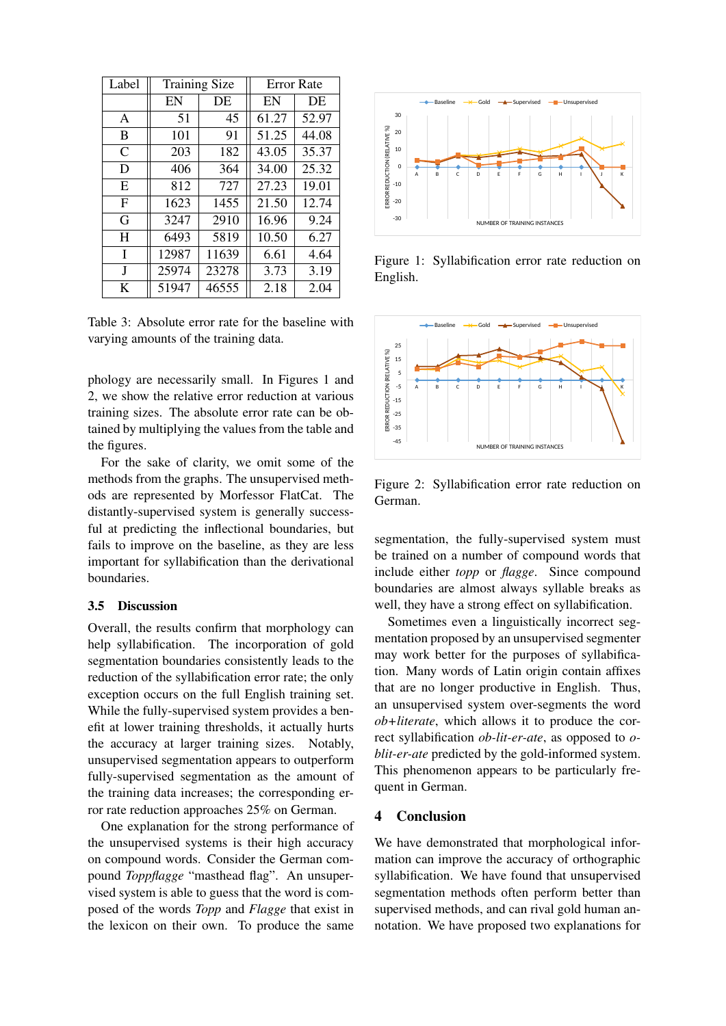| Label | <b>Training Size</b> |       | <b>Error Rate</b> |       |
|-------|----------------------|-------|-------------------|-------|
|       | EN                   | DE    | EN                | DE    |
| A     | 51                   | 45    | 61.27             | 52.97 |
| B     | 101                  | 91    | 51.25             | 44.08 |
| C     | 203                  | 182   | 43.05             | 35.37 |
| D     | 406                  | 364   | 34.00             | 25.32 |
| E     | 812                  | 727   | 27.23             | 19.01 |
| F     | 1623                 | 1455  | 21.50             | 12.74 |
| G     | 3247                 | 2910  | 16.96             | 9.24  |
| H     | 6493                 | 5819  | 10.50             | 6.27  |
| I     | 12987                | 11639 | 6.61              | 4.64  |
| J     | 25974                | 23278 | 3.73              | 3.19  |
| K     | 51947                | 46555 | 2.18              | 2.04  |

Table 3: Absolute error rate for the baseline with varying amounts of the training data.

phology are necessarily small. In Figures 1 and 2, we show the relative error reduction at various training sizes. The absolute error rate can be obtained by multiplying the values from the table and the figures.

For the sake of clarity, we omit some of the methods from the graphs. The unsupervised methods are represented by Morfessor FlatCat. The distantly-supervised system is generally successful at predicting the inflectional boundaries, but fails to improve on the baseline, as they are less important for syllabification than the derivational boundaries.

## 3.5 Discussion

Overall, the results confirm that morphology can help syllabification. The incorporation of gold segmentation boundaries consistently leads to the reduction of the syllabification error rate; the only exception occurs on the full English training set. While the fully-supervised system provides a benefit at lower training thresholds, it actually hurts the accuracy at larger training sizes. Notably, unsupervised segmentation appears to outperform fully-supervised segmentation as the amount of the training data increases; the corresponding error rate reduction approaches 25% on German.

One explanation for the strong performance of the unsupervised systems is their high accuracy on compound words. Consider the German compound *Toppflagge* "masthead flag". An unsupervised system is able to guess that the word is composed of the words *Topp* and *Flagge* that exist in the lexicon on their own. To produce the same



Figure 1: Syllabification error rate reduction on English.



Figure 2: Syllabification error rate reduction on German.

segmentation, the fully-supervised system must be trained on a number of compound words that include either *topp* or *flagge*. Since compound boundaries are almost always syllable breaks as well, they have a strong effect on syllabification.

Sometimes even a linguistically incorrect segmentation proposed by an unsupervised segmenter may work better for the purposes of syllabification. Many words of Latin origin contain affixes that are no longer productive in English. Thus, an unsupervised system over-segments the word *ob+literate*, which allows it to produce the correct syllabification *ob-lit-er-ate*, as opposed to *oblit-er-ate* predicted by the gold-informed system. This phenomenon appears to be particularly frequent in German.

#### 4 Conclusion

We have demonstrated that morphological information can improve the accuracy of orthographic syllabification. We have found that unsupervised segmentation methods often perform better than supervised methods, and can rival gold human annotation. We have proposed two explanations for